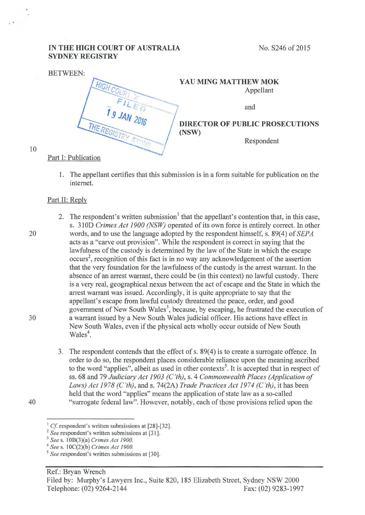## **IN THE HIGH COURT OF AUSTRALIA SYDNEY REGISTRY**

| <b>BETWEEN:</b>     |                                        |
|---------------------|----------------------------------------|
|                     | YAU MING MATTHEW MOK                   |
|                     | Appellant                              |
|                     | and                                    |
| 1 9 JAN 2016        | <b>DIRECTOR OF PUBLIC PROSECUTIONS</b> |
| <b>IHE REGISTRY</b> | (NSW)<br>Respondent                    |
| Dart I. Dublication |                                        |

10

## Part I: Publication

I. The appellant certifies that this submission is in a form suitable for publication on the internet.

## Part II: Reply

- 2. The respondent's written submission<sup>1</sup> that the appellant's contention that, in this case, s. 31 OD *Crimes Act 1900 (NSW)* operated of its own force is entirely correct. In other 20 words, and to use the language adopted by the respondent himself, s. 89(4) of *SEPA*  acts as a "carve out provision". While the respondent is correct in saying that the lawfulness of the custody is determined by the law of the State in which the escape occurs<sup>2</sup>, recognition of this fact is in no way any acknowledgement of the assertion that the very foundation for the lawfulness of the custody is the arrest warrant. In the absence of an arrest warrant, there could be (in this context) no lawful custody. There is a very real, geographical nexus between the act of escape and the State in which the arrest warrant was issued. Accordingly, it is quite appropriate to say that the appellant's escape from lawful custody threatened the peace, order, and good government of New South Wales<sup>3</sup>, because, by escaping, he frustrated the execution of 30 a warrant issued by a New South Wales judicial officer. His actions have effect in New South Wales, even if the physical acts wholly occur outside of New South Wales<sup>4</sup>.
- 3. The respondent contends that the effect of s. 89(4) is to create a surrogate offence. In order to do so, the respondent places considerable reliance upon the meaning ascribed to the word "applies", albeit as used in other contexts<sup>5</sup>. It is accepted that in respect of ss. 68 and 79 *Judiciary Act 1903 (C'th),* s. 4 *Commonwealth Places (Application of Laws) Act 1978 (C 'th),* and s. 74(2A) *Trade Practices Act 1974 (C'th),* it has been held that the word "applies" means the application of state law as a so-called 40 "surrogate federal law". However, notably, each ofthose provisions relied upon the

<sup>&</sup>lt;sup>1</sup> *Cf.* respondent's written submissions at [28]-[32].<br>
<sup>2</sup> *See* respondent's written submissions at [31].<br>
<sup>3</sup> *See* s. 10B(3)(a) *Crimes Act 1900.*<br>
<sup>4</sup> *See* s. 10C(2)(b) *Crimes Act 1900.* 

<sup>&</sup>lt;sup>5</sup> See respondent's written submissions at [30].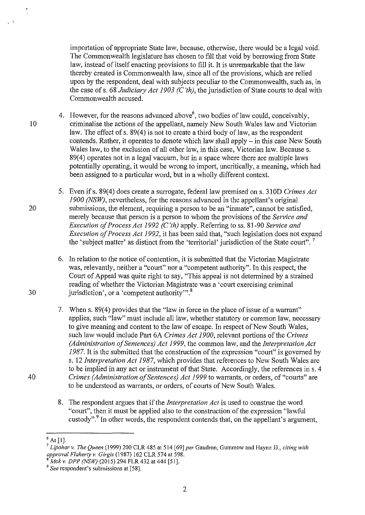importation of appropriate State law, because, otherwise, there would be a legal void. The Commonwealth legislature has chosen to fill that void by borrowing from State law, instead of itself enacting provisions to fill it. It is unremarkable that the law thereby created is Commonwealth law, since all of the provisions, which are relied upon by the respondent, deal with subjects peculiar to the Commonwealth, such as, in the case of s. 68 *Judiciary Act 1903 (C 'th),* the jurisdiction of State courts to deal with Commonwealth accused.

- 4. However, for the reasons advanced above<sup>6</sup>, two bodies of law could, conceivably, 10 criminalise the actions of the appellant, namely New South Wales law and Victorian law. The effect of s.  $89(4)$  is not to create a third body of law, as the respondent contends. Rather, it operates to denote which law shall apply  $-$  in this case New South Wales law, to the exclusion of all other law, in this case, Victorian law. Because s. 89(4) operates not in a legal vacuum, but in a space where there are multiple laws potentially operating, it would be wrong to import, uncritically, a meaning, which had been assigned to a particular word, but in a wholly different context.
- 5. Even if s. 89(4) does create a surrogate, federal law premised on s. 310D *Crimes Act 1900 (NSW),* nevertheless, for the reasons advanced in the appellant's original 20 submissions, the element, requiring a person to be an "inmate", cannot be satisfied, merely because that person is a person to whom the provisions of the *Service and Execution of Process Act 1992 (C'th)* apply. Referring toss. 81-90 *Service and Execution of Process Act 1992,* it has been said that, "such legislation does not expand the 'subject matter' as distinct from the 'territorial' jurisdiction of the State court".<sup>7</sup>
- 6. In relation to the notice of contention, it is submitted that the Victorian Magistrate was, relevantly, neither a "court" nor a "competent authority". In this respect, the Court of Appeal was quite right to say, "This appeal is not determined by a strained reading of whether the Victorian Magistrate was a 'court exercising criminal 30 jurisdiction', or a 'competent authority'".<sup>8</sup>
- 7. When s. 89(4) provides that the "law in force in the place of issue of a warrant" applies, such "law" must include all law, whether statutory or common law, necessary to give meaning and content to the law of escape. In respect of New South Wales, such law would include Part 6A *Crimes Act 1900,* relevant portions of the *Crimes (Administration of Sentences) Act 1999,* the common law, and the *Interpretation Act*  1987. It is the submitted that the construction of the expression "court" is governed by s. *12Interpretation Act 1987,* which provides that references to New South Wales are to be implied in any act or instrument of that State. Accordingly, the references ins. 4 40 *Crimes (Administration of Sentences) Act 1999* to warrants, or orders, of"courts" are to be understood as warrants, or orders, of courts of New South Wales.
	- 8. The respondent argues that if the *Interpretation Act* is used to construe the word "court", then it must be applied also to the construction of the expression "lawful custody".9 In other words, the respondent contends that, on the appellant's argument,

<sup>6</sup> At [1]. 7 *Lipohar v. The Queen* (1999) 200 CLR 485 at 514 [69] *per* Gaudron, Gummow and Hayne JJ., *citing with approval Flaherty v. Girgis* (1987) 162 CLR 574 at 598.<br><sup>8</sup> Mok v. DPP (NSW) (2015) 294 FLR 432 at 444 [51].

<sup>9</sup>*See* respondent's submissions at [58].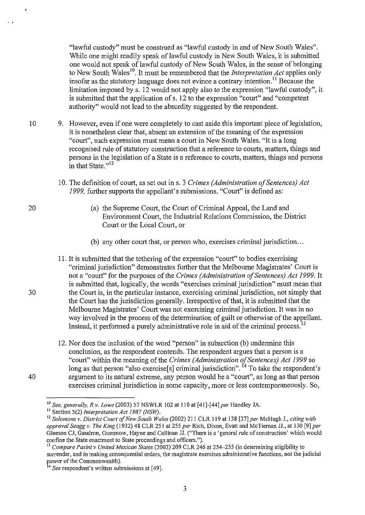"lawful custody" must be construed as "lawful custody in and of New South Wales". While one might readily speak of lawful custody in New South Wales, it is submitted one would not speak of lawful custody of New South Wales, in the sense of belonging to New South Wales<sup>10</sup>. It must be remembered that the *Interpretation Act* applies only insofar as the statutory language does not evince a contrary intention.<sup>11</sup> Because the limitation imposed by s. 12 would not apply also to the expression "lawful custody", it is submitted that the application of s. 12 to the expression "court" and "competent authority" would not lead to the absurdity suggested by the respondent.

- 10 9. However, even if one were completely to cast aside this important piece of legislation, it is nonetheless clear that, absent an extension of the meaning of the expression "court", such expression must mean a court in New South Wales. "It is a long recognised rule of statutory construction that a reference to comts, matters, things and persons in the legislation of a State is a reference to courts, matters, things and persons in that State."<sup>12</sup>
	- 10. The definition of court, as set out ins. 3 *Crimes (Administration of Sentences) Act 1999,* further supports the appellant's submissions. "Court" is defined as:
		- (a) the Supreme Court, the Court of Criminal Appeal, the Land and Environment Court, the Industrial Relations Commission, the District Comt or the Local Court, or
		- (b) any other court that, or person who, exercises criminal jurisdiction ...
- 11. It is submitted that the tethering of the expression "court" to bodies exercising "criminal jurisdiction" demonstrates further that the Melbourne Magistrates' Court is not a "court" for the purposes of the *Crimes (Administration of Sentences) Act 1999.* It is submitted that, logically, the words "exercises criminal jurisdiction" must mean that 30 the Court is, in the particular instance, exercising criminal jurisdiction, not simply that the Court has the jurisdiction generally. Irrespective of that, it is submitted that the Melbourne Magistrates' Court was not exercising criminal jurisdiction. It was in no way involved in the process of the determination of guilt or otherwise of the appellant. Instead, it performed a purely administrative role in aid of the criminal process.<sup>13</sup>
- 12. Nor does the inclusion of the word "person" in subsection (b) undermine this conclusion, as the respondent contends. The respondent argues that a person is a "court" within the meaning of the *Crimes (Administration ofSentences) Act 1999* so long as that person "also exercise[s] criminal jurisdiction". <sup>14</sup> To take the respondent's 40 argument to its natural extreme, any person would be a "court", as long as that person exercises criminal jurisdiction in some capacity, more or less contemporaneously. So,

20

 $\epsilon$ 

 $\sim$   $\sim$ 

<sup>&</sup>lt;sup>10</sup> See, generally, R v. Lowe (2003) 57 NSWLR 102 at 110 at [41]-[44] *per* Handley JA. <sup>11</sup> Section 5(2) *Interpretation Act 1987 (NSW)*.

<sup>12</sup>*Solomons v. District Court of New South Wales* (2002) 211 CLR 119 at 138 [37] *per* McHugh J., *citing with approval Seagg v. The King* (1 932) 48 CLR 251 at 255 *per* Rich, Dixon, Evatt and McTiernan JJ., at 130 [9] *per*  Gleeson CJ, Gaudron, Gummow, Hayne and Callinan JJ. ("There is a 'general rule of construction' which would confine the State enactment to State proceedings and officers.").

<sup>13</sup>*Compare Pasini v United Mexican States* (2002) 209 CLR 246 at 254-255 (in determining eligibility to **surrender, and in making consequential orders, the magistrate exercises administrative functions, not the judicial**  power of the Commonwealth).<br><sup>14</sup> *See* respondent's written submissions at [49].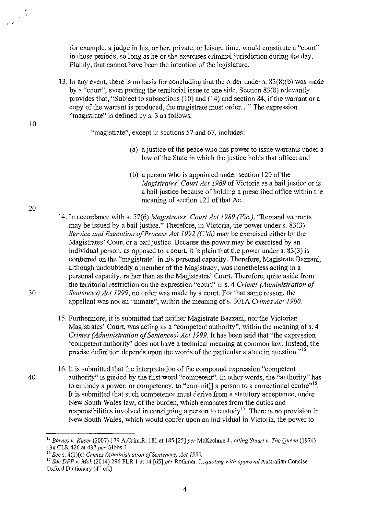for example, a judge in his, or her, private, or leisure time, would constitute a "court" in those periods, so long as he or she exercises criminal jurisdiction during the day. Plainly, that cannot have been the intention of the legislature.

13. In any event, there is no basis for concluding that the order under s. 83(8)(b) was made by a "court", even putting the territorial issue to one side. Section 83(8) relevantly provides that, "Subject to subsections (10) and (14) and section 84, if the warrant or a copy of the warrant is produced, the magistrate must order. .. " The expression "magistrate" is defined by s. 3 as follows:

"magistrate", except in sections 57 and 67, includes:

- (a) a justice of the peace who has power to issue warrants under a law of the State in which the justice holds that office; and
- (b) a person who is appointed under section 120 of the *Magistrates' Court Act 1989* of Victoria as a bail justice or is a bail justice because of holding a prescribed office within the meaning of section 121 of that Act.
- 14. In accordance with s. 57(6) *Magistrates' Court Act 1989 (Vic.),* "Remand warrants may be issued by a bail justice." Therefore, in Victoria, the power under s. 83(3) *Service and Execution of Process Act 1992 (C'th)* may be exercised either by the Magistrates' Court or a bail justice. Because the power may be exercised by an individual person, as opposed to a court, it is plain that the power under s. 83(3) is conferred on the "magistrate" in his personal capacity. Therefore, Magistrate Bazzani, although undoubtedly a member of the Magistracy, was nonetheless acting in a personal capacity, rather than as the Magistrates' Court. Therefore, quite aside from the territorial restriction on the expression "court" ins. 4 *Crimes (Administration of*  30 *Sentences) Act 1999,* no order was made by a court. For that same reason, the appellant was not an "inmate", within the meaning of s. 301A *Crimes Act 1900*.
	- 15. Furthermore, it is submitted that neither Magistrate Bazzani, nor the Victorian Magistrates' Court, was acting as a "competent authority", within the meaning of s. 4 *Crimes (Administration of Sentences) Act 1999.* It has been said that "the expression 'competent authority' does not have a technical meaning at common law. Instead, the precise definition depends upon the words of the particular statute in question."<sup>15</sup>
- 16. It is submitted that the interpretation of the compound expression "competent 40 authority" is guided by the first word "competent". In other words, the "authority" has to embody a power, or competency, to "commit $[]$  a person to a correctional centre"<sup>16</sup>. It is submitted that such competence must derive from a statutory acceptance, under New South Wales law, of the burden, which emanates from the duties and responsibilities involved in consigning a person to custody<sup>17</sup>. There is no provision in New South Wales, which would confer upon an individual in Victoria, the power to

20

10

. .

<sup>15</sup>*Barnes v. Kuser* (2007) 179 A.Crim.R. 181 at 185 [25] *per* McKechnie J., *citing Stuart v. The Queen* (1974) 134 CLR 426 at 437 *per* Gibbs J

<sup>16</sup>*Sees.* 4(l)(e) *Crimes (Administration of Sentences) Act 1999.* 

<sup>17</sup>*See DPP v. Mok* (2014) 296 FLR I at 14 [65] *per* Rothman J., *quoting with approval* Australian Concise Oxford Dictionary  $(4<sup>th</sup>$  ed.)